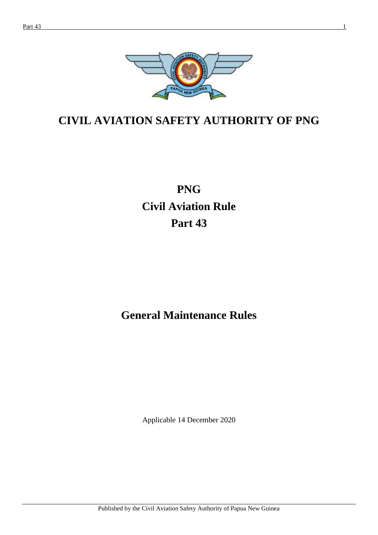

# **CIVIL AVIATION SAFETY AUTHORITY OF PNG**

# **PNG Civil Aviation Rule Part 43**

# **General Maintenance Rules**

Applicable 14 December 2020

Published by the Civil Aviation Safety Authority of Papua New Guinea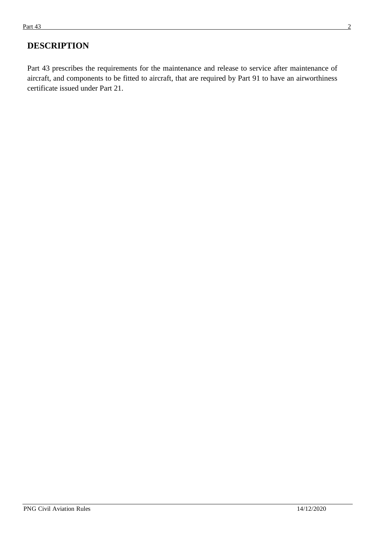# **DESCRIPTION**

Part 43 prescribes the requirements for the maintenance and release to service after maintenance of aircraft, and components to be fitted to aircraft, that are required by Part 91 to have an airworthiness certificate issued under Part 21.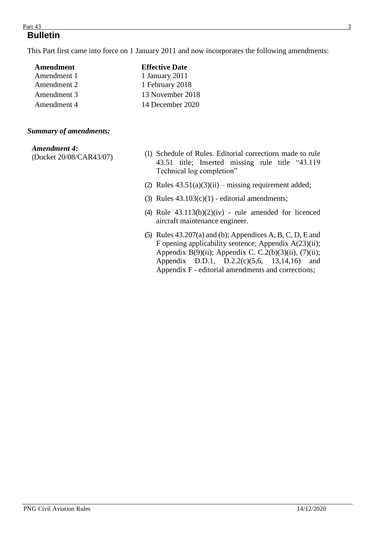#### $Part\,43$  3 **Bulletin**

This Part first came into force on 1 January 2011 and now incorporates the following amendments:

| Amendment   | <b>Effective Date</b> |
|-------------|-----------------------|
| Amendment 1 | 1 January 2011        |
| Amendment 2 | 1 February 2018       |
| Amendment 3 | 13 November 2018      |
| Amendment 4 | 14 December 2020      |

#### *Summary of amendments:*

#### *Amendment 4:*

(Docket 20/08/CAR43/07)

- (1) Schedule of Rules. Editorial corrections made to rule 43.51 title; Inserted missing rule title "43.119 Technical log completion"
- (2) Rules  $43.51(a)(3)(ii)$  missing requirement added;
- (3) Rules  $43.103(c)(1)$  editorial amendments;
- (4) Rule  $43.113(b)(2)(iv)$  rule amended for licenced aircraft maintenance engineer.
- (5) Rules 43.207(a) and (b); Appendices A, B, C, D, E and F opening applicability sentence; Appendix A(23)(ii); Appendix B(9)(ii); Appendix C. C.2(b)(3)(ii), (7)(ii); Appendix D.D.1, D.2.2(c)(5,6, 13,14,16) and Appendix F - editorial amendments and corrections;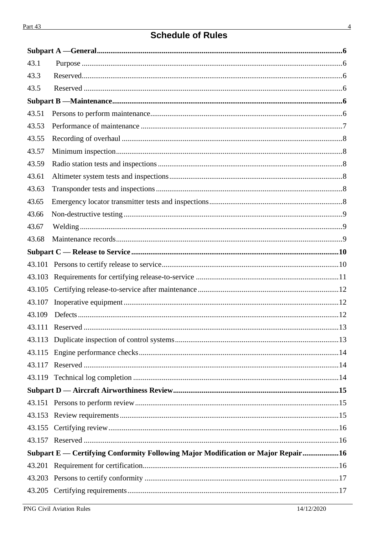# **Schedule of Rules**

| 43.1   |                                                                                  |  |
|--------|----------------------------------------------------------------------------------|--|
| 43.3   |                                                                                  |  |
| 43.5   |                                                                                  |  |
|        |                                                                                  |  |
| 43.51  |                                                                                  |  |
| 43.53  |                                                                                  |  |
| 43.55  |                                                                                  |  |
| 43.57  |                                                                                  |  |
| 43.59  |                                                                                  |  |
| 43.61  |                                                                                  |  |
| 43.63  |                                                                                  |  |
| 43.65  |                                                                                  |  |
| 43.66  |                                                                                  |  |
| 43.67  |                                                                                  |  |
| 43.68  |                                                                                  |  |
|        |                                                                                  |  |
|        |                                                                                  |  |
| 43.103 |                                                                                  |  |
| 43.105 |                                                                                  |  |
| 43.107 |                                                                                  |  |
| 43.109 |                                                                                  |  |
|        |                                                                                  |  |
|        |                                                                                  |  |
| 43.115 |                                                                                  |  |
| 43.117 |                                                                                  |  |
|        |                                                                                  |  |
|        |                                                                                  |  |
|        |                                                                                  |  |
|        |                                                                                  |  |
|        |                                                                                  |  |
|        |                                                                                  |  |
|        | Subpart E — Certifying Conformity Following Major Modification or Major Repair16 |  |
| 43.201 |                                                                                  |  |
|        |                                                                                  |  |
|        |                                                                                  |  |
|        |                                                                                  |  |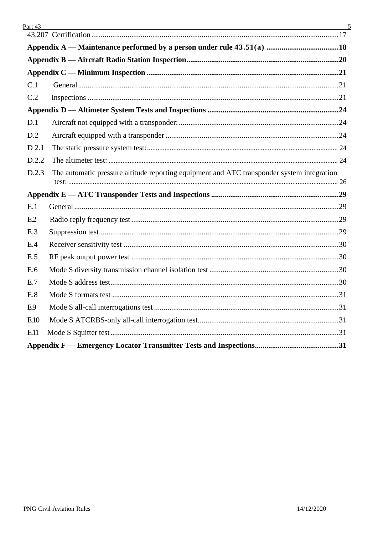| C.1   |                                                                                            |  |
|-------|--------------------------------------------------------------------------------------------|--|
| C.2   |                                                                                            |  |
|       |                                                                                            |  |
| D.1   |                                                                                            |  |
| D.2   |                                                                                            |  |
| D 2.1 |                                                                                            |  |
| D.2.2 |                                                                                            |  |
| D.2.3 | The automatic pressure altitude reporting equipment and ATC transponder system integration |  |
|       |                                                                                            |  |
| E.1   |                                                                                            |  |
| E.2   |                                                                                            |  |
| E.3   |                                                                                            |  |
| E.4   |                                                                                            |  |
| E.5   |                                                                                            |  |
| E.6   |                                                                                            |  |
| E.7   |                                                                                            |  |
| E.8   |                                                                                            |  |
| E.9   |                                                                                            |  |
| E.10  |                                                                                            |  |
| E11   |                                                                                            |  |
|       |                                                                                            |  |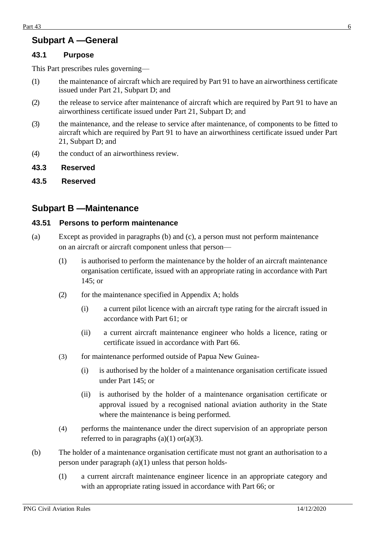## <span id="page-5-0"></span>**Subpart A —General**

#### <span id="page-5-1"></span>**43.1 Purpose**

This Part prescribes rules governing—

- (1) the maintenance of aircraft which are required by Part 91 to have an airworthiness certificate issued under Part 21, Subpart D; and
- (2) the release to service after maintenance of aircraft which are required by Part 91 to have an airworthiness certificate issued under Part 21, Subpart D; and
- (3) the maintenance, and the release to service after maintenance, of components to be fitted to aircraft which are required by Part 91 to have an airworthiness certificate issued under Part 21, Subpart D; and
- (4) the conduct of an airworthiness review.
- <span id="page-5-2"></span>**43.3 Reserved**
- <span id="page-5-3"></span>**43.5 Reserved**

### <span id="page-5-4"></span>**Subpart B —Maintenance**

#### <span id="page-5-5"></span>**43.51 Persons to perform maintenance**

- (a) Except as provided in paragraphs (b) and (c), a person must not perform maintenance on an aircraft or aircraft component unless that person—
	- (1) is authorised to perform the maintenance by the holder of an aircraft maintenance organisation certificate, issued with an appropriate rating in accordance with Part 145; or
	- (2) for the maintenance specified in Appendix A; holds
		- (i) a current pilot licence with an aircraft type rating for the aircraft issued in accordance with Part 61; or
		- (ii) a current aircraft maintenance engineer who holds a licence, rating or certificate issued in accordance with Part 66.
	- (3) for maintenance performed outside of Papua New Guinea-
		- (i) is authorised by the holder of a maintenance organisation certificate issued under Part 145; or
		- (ii) is authorised by the holder of a maintenance organisation certificate or approval issued by a recognised national aviation authority in the State where the maintenance is being performed.
	- (4) performs the maintenance under the direct supervision of an appropriate person referred to in paragraphs  $(a)(1)$  or $(a)(3)$ .
- (b) The holder of a maintenance organisation certificate must not grant an authorisation to a person under paragraph (a)(1) unless that person holds-
	- (1) a current aircraft maintenance engineer licence in an appropriate category and with an appropriate rating issued in accordance with Part 66; or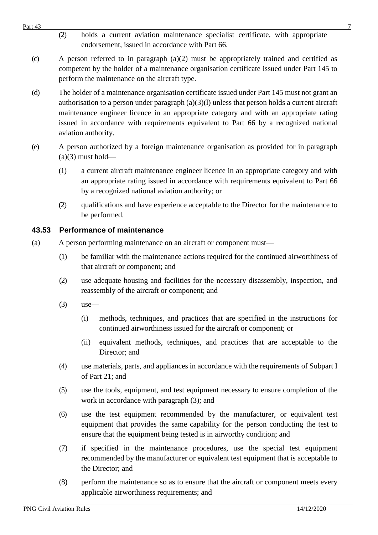- Part 43  $\overline{7}$ (2) holds a current aviation maintenance specialist certificate, with appropriate endorsement, issued in accordance with Part 66.
	- (c) A person referred to in paragraph  $(a)(2)$  must be appropriately trained and certified as competent by the holder of a maintenance organisation certificate issued under Part 145 to perform the maintenance on the aircraft type.
	- (d) The holder of a maintenance organisation certificate issued under Part 145 must not grant an authorisation to a person under paragraph  $(a)(3)(l)$  unless that person holds a current aircraft maintenance engineer licence in an appropriate category and with an appropriate rating issued in accordance with requirements equivalent to Part 66 by a recognized national aviation authority.
	- (e) A person authorized by a foreign maintenance organisation as provided for in paragraph  $(a)(3)$  must hold—
		- (1) a current aircraft maintenance engineer licence in an appropriate category and with an appropriate rating issued in accordance with requirements equivalent to Part 66 by a recognized national aviation authority; or
		- (2) qualifications and have experience acceptable to the Director for the maintenance to be performed.

### <span id="page-6-0"></span>**43.53 Performance of maintenance**

- (a) A person performing maintenance on an aircraft or component must—
	- (1) be familiar with the maintenance actions required for the continued airworthiness of that aircraft or component; and
	- (2) use adequate housing and facilities for the necessary disassembly, inspection, and reassembly of the aircraft or component; and
	- $(3)$  use—
		- (i) methods, techniques, and practices that are specified in the instructions for continued airworthiness issued for the aircraft or component; or
		- (ii) equivalent methods, techniques, and practices that are acceptable to the Director; and
	- (4) use materials, parts, and appliances in accordance with the requirements of Subpart I of Part 21; and
	- (5) use the tools, equipment, and test equipment necessary to ensure completion of the work in accordance with paragraph (3); and
	- (6) use the test equipment recommended by the manufacturer, or equivalent test equipment that provides the same capability for the person conducting the test to ensure that the equipment being tested is in airworthy condition; and
	- (7) if specified in the maintenance procedures, use the special test equipment recommended by the manufacturer or equivalent test equipment that is acceptable to the Director; and
	- (8) perform the maintenance so as to ensure that the aircraft or component meets every applicable airworthiness requirements; and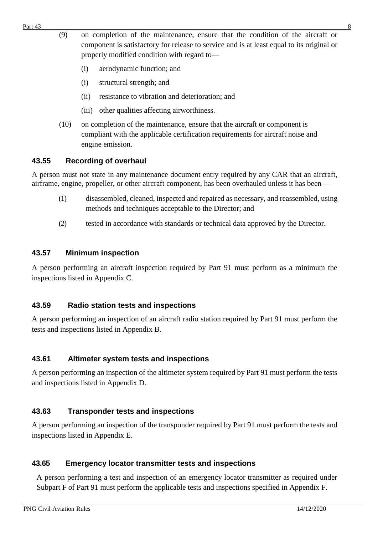- (9) on completion of the maintenance, ensure that the condition of the aircraft or component is satisfactory for release to service and is at least equal to its original or properly modified condition with regard to—
	- (i) aerodynamic function; and
	- (i) structural strength; and
	- (ii) resistance to vibration and deterioration; and
	- (iii) other qualities affecting airworthiness.
- (10) on completion of the maintenance, ensure that the aircraft or component is compliant with the applicable certification requirements for aircraft noise and engine emission.

#### <span id="page-7-0"></span>**43.55 Recording of overhaul**

A person must not state in any maintenance document entry required by any CAR that an aircraft, airframe, engine, propeller, or other aircraft component, has been overhauled unless it has been—

- (1) disassembled, cleaned, inspected and repaired as necessary, and reassembled, using methods and techniques acceptable to the Director; and
- (2) tested in accordance with standards or technical data approved by the Director.

#### <span id="page-7-1"></span>**43.57 Minimum inspection**

A person performing an aircraft inspection required by Part 91 must perform as a minimum the inspections listed in Appendix C.

#### <span id="page-7-2"></span>**43.59 Radio station tests and inspections**

A person performing an inspection of an aircraft radio station required by Part 91 must perform the tests and inspections listed in Appendix B.

#### <span id="page-7-3"></span>**43.61 Altimeter system tests and inspections**

A person performing an inspection of the altimeter system required by Part 91 must perform the tests and inspections listed in Appendix D.

#### <span id="page-7-4"></span>**43.63 Transponder tests and inspections**

A person performing an inspection of the transponder required by Part 91 must perform the tests and inspections listed in Appendix E.

#### <span id="page-7-5"></span>**43.65 Emergency locator transmitter tests and inspections**

A person performing a test and inspection of an emergency locator transmitter as required under Subpart F of Part 91 must perform the applicable tests and inspections specified in Appendix F.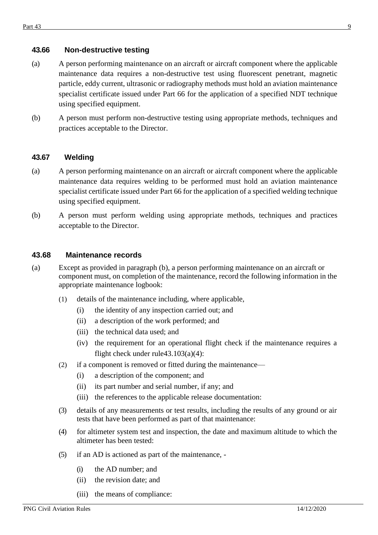#### <span id="page-8-0"></span>**43.66 Non-destructive testing**

- (a) A person performing maintenance on an aircraft or aircraft component where the applicable maintenance data requires a non-destructive test using fluorescent penetrant, magnetic particle, eddy current, ultrasonic or radiography methods must hold an aviation maintenance specialist certificate issued under Part 66 for the application of a specified NDT technique using specified equipment.
- (b) A person must perform non-destructive testing using appropriate methods, techniques and practices acceptable to the Director.

#### <span id="page-8-1"></span>**43.67 Welding**

- (a) A person performing maintenance on an aircraft or aircraft component where the applicable maintenance data requires welding to be performed must hold an aviation maintenance specialist certificate issued under Part 66 for the application of a specified welding technique using specified equipment.
- (b) A person must perform welding using appropriate methods, techniques and practices acceptable to the Director.

#### <span id="page-8-2"></span>**43.68 Maintenance records**

- (a) Except as provided in paragraph (b), a person performing maintenance on an aircraft or component must, on completion of the maintenance, record the following information in the appropriate maintenance logbook:
	- (1) details of the maintenance including, where applicable,
		- (i) the identity of any inspection carried out; and
		- (ii) a description of the work performed; and
		- (iii) the technical data used; and
		- (iv) the requirement for an operational flight check if the maintenance requires a flight check under rule43.103 $(a)(4)$ :
	- (2) if a component is removed or fitted during the maintenance—
		- (i) a description of the component; and
		- (ii) its part number and serial number, if any; and
		- (iii) the references to the applicable release documentation:
	- (3) details of any measurements or test results, including the results of any ground or air tests that have been performed as part of that maintenance:
	- (4) for altimeter system test and inspection, the date and maximum altitude to which the altimeter has been tested:
	- (5) if an AD is actioned as part of the maintenance,
		- (i) the AD number; and
		- (ii) the revision date; and
		- (iii) the means of compliance: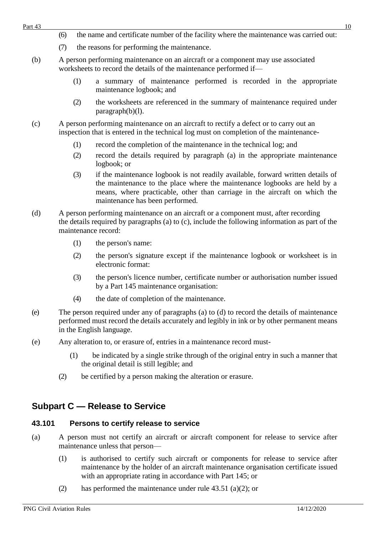- (6) the name and certificate number of the facility where the maintenance was carried out:
- (7) the reasons for performing the maintenance.
- (b) A person performing maintenance on an aircraft or a component may use associated worksheets to record the details of the maintenance performed if—
	- (1) a summary of maintenance performed is recorded in the appropriate maintenance logbook; and
	- (2) the worksheets are referenced in the summary of maintenance required under paragraph(b)(l).
- (c) A person performing maintenance on an aircraft to rectify a defect or to carry out an inspection that is entered in the technical log must on completion of the maintenance-
	- (1) record the completion of the maintenance in the technical log; and
	- (2) record the details required by paragraph (a) in the appropriate maintenance logbook; or
	- (3) if the maintenance logbook is not readily available, forward written details of the maintenance to the place where the maintenance logbooks are held by a means, where practicable, other than carriage in the aircraft on which the maintenance has been performed.
- (d) A person performing maintenance on an aircraft or a component must, after recording the details required by paragraphs (a) to (c), include the following information as part of the maintenance record:
	- (1) the person's name:
	- (2) the person's signature except if the maintenance logbook or worksheet is in electronic format:
	- (3) the person's licence number, certificate number or authorisation number issued by a Part 145 maintenance organisation:
	- (4) the date of completion of the maintenance.
- (e) The person required under any of paragraphs (a) to (d) to record the details of maintenance performed must record the details accurately and legibly in ink or by other permanent means in the English language.
- (e) Any alteration to, or erasure of, entries in a maintenance record must-
	- (1) be indicated by a single strike through of the original entry in such a manner that the original detail is still legible; and
	- (2) be certified by a person making the alteration or erasure.

# <span id="page-9-0"></span>**Subpart C — Release to Service**

### <span id="page-9-1"></span>**43.101 Persons to certify release to service**

- (a) A person must not certify an aircraft or aircraft component for release to service after maintenance unless that person—
	- (1) is authorised to certify such aircraft or components for release to service after maintenance by the holder of an aircraft maintenance organisation certificate issued with an appropriate rating in accordance with Part 145; or
	- (2) has performed the maintenance under rule  $43.51$  (a)(2); or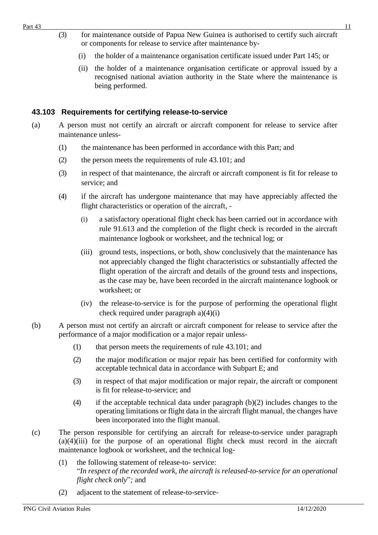- (3) for maintenance outside of Papua New Guinea is authorised to certify such aircraft or components for release to service after maintenance by-
	- (i) the holder of a maintenance organisation certificate issued under Part 145; or
	- (ii) the holder of a maintenance organisation certificate or approval issued by a recognised national aviation authority in the State where the maintenance is being performed.

#### <span id="page-10-0"></span>**43.103 Requirements for certifying release-to-service**

- (a) A person must not certify an aircraft or aircraft component for release to service after maintenance unless-
	- (1) the maintenance has been performed in accordance with this Part; and
	- (2) the person meets the requirements of rule 43.101; and
	- (3) in respect of that maintenance, the aircraft or aircraft component is fit for release to service; and
	- (4) if the aircraft has undergone maintenance that may have appreciably affected the flight characteristics or operation of the aircraft, -
		- (i) a satisfactory operational flight check has been carried out in accordance with rule 91.613 and the completion of the flight check is recorded in the aircraft maintenance logbook or worksheet, and the technical log; or
		- (iii) ground tests, inspections, or both, show conclusively that the maintenance has not appreciably changed the flight characteristics or substantially affected the flight operation of the aircraft and details of the ground tests and inspections, as the case may be, have been recorded in the aircraft maintenance logbook or worksheet; or
		- (iv) the release-to-service is for the purpose of performing the operational flight check required under paragraph a)(4)(i)
- (b) A person must not certify an aircraft or aircraft component for release to service after the performance of a major modification or a major repair unless-
	- (1) that person meets the requirements of rule 43.101; and
	- (2) the major modification or major repair has been certified for conformity with acceptable technical data in accordance with Subpart E; and
	- (3) in respect of that major modification or major repair, the aircraft or component is fit for release-to-service; and
	- (4) if the acceptable technical data under paragraph (b)(2) includes changes to the operating limitations or flight data in the aircraft flight manual, the changes have been incorporated into the flight manual.
- (c) The person responsible for certifying an aircraft for release-to-service under paragraph  $(a)(4)(iii)$  for the purpose of an operational flight check must record in the aircraft maintenance logbook or worksheet, and the technical log-
	- (1) the following statement of release-to- service: "*In respect of the recorded work, the aircraft is released-to-service for an operational flight check only*"*;* and
	- (2) adjacent to the statement of release-to-service-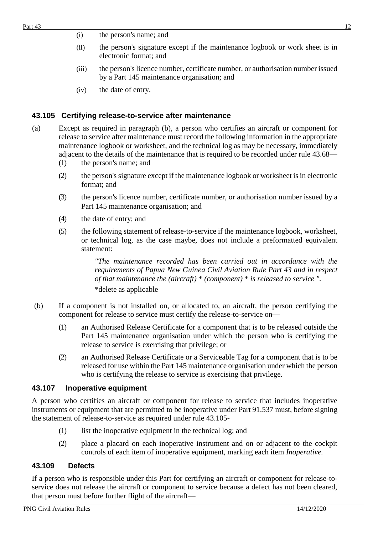- (i) the person's name; and
- (ii) the person's signature except if the maintenance logbook or work sheet is in electronic format; and
- (iii) the person's licence number, certificate number, or authorisation number issued by a Part 145 maintenance organisation; and
- (iv) the date of entry.

#### <span id="page-11-0"></span>**43.105 Certifying release-to-service after maintenance**

- (a) Except as required in paragraph (b), a person who certifies an aircraft or component for release to service after maintenance must record the following information in the appropriate maintenance logbook or worksheet, and the technical log as may be necessary, immediately adjacent to the details of the maintenance that is required to be recorded under rule 43.68—
	- (1) the person's name; and
	- (2) the person's signature except if the maintenance logbook or worksheet is in electronic format; and
	- (3) the person's licence number, certificate number, or authorisation number issued by a Part 145 maintenance organisation; and
	- (4) the date of entry; and
	- (5) the following statement of release-to-service if the maintenance logbook, worksheet, or technical log, as the case maybe, does not include a preformatted equivalent statement:

*"The maintenance recorded has been carried out in accordance with the requirements of Papua New Guinea Civil Aviation Rule Part 43 and in respect of that maintenance the (aircraft)* \* *(component)* \* *is released to service ".* \*delete as applicable

- (b) If a component is not installed on, or allocated to, an aircraft, the person certifying the component for release to service must certify the release-to-service on—
	- (1) an Authorised Release Certificate for a component that is to be released outside the Part 145 maintenance organisation under which the person who is certifying the release to service is exercising that privilege; or
	- (2) an Authorised Release Certificate or a Serviceable Tag for a component that is to be released for use within the Part 145 maintenance organisation under which the person who is certifying the release to service is exercising that privilege.

#### <span id="page-11-1"></span>**43.107 Inoperative equipment**

A person who certifies an aircraft or component for release to service that includes inoperative instruments or equipment that are permitted to be inoperative under Part 91.537 must, before signing the statement of release-to-service as required under rule 43.105-

- (1) list the inoperative equipment in the technical log; and
- (2) place a placard on each inoperative instrument and on or adjacent to the cockpit controls of each item of inoperative equipment, marking each item *Inoperative.*

#### <span id="page-11-2"></span>**43.109 Defects**

If a person who is responsible under this Part for certifying an aircraft or component for release-toservice does not release the aircraft or component to service because a defect has not been cleared, that person must before further flight of the aircraft—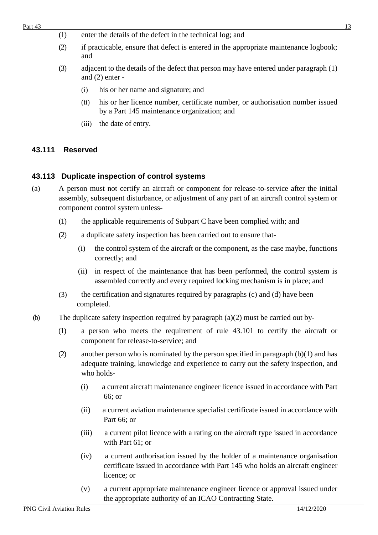- (1) enter the details of the defect in the technical log; and
- (2) if practicable, ensure that defect is entered in the appropriate maintenance logbook; and
- (3) adjacent to the details of the defect that person may have entered under paragraph (1) and (2) enter -
	- (i) his or her name and signature; and
	- (ii) his or her licence number, certificate number, or authorisation number issued by a Part 145 maintenance organization; and
	- (iii) the date of entry.

#### <span id="page-12-0"></span>**43.111 Reserved**

#### <span id="page-12-1"></span>**43.113 Duplicate inspection of control systems**

- (a) A person must not certify an aircraft or component for release-to-service after the initial assembly, subsequent disturbance, or adjustment of any part of an aircraft control system or component control system unless-
	- (1) the applicable requirements of Subpart C have been complied with; and
	- (2) a duplicate safety inspection has been carried out to ensure that-
		- (i) the control system of the aircraft or the component, as the case maybe, functions correctly; and
		- (ii) in respect of the maintenance that has been performed, the control system is assembled correctly and every required locking mechanism is in place; and
	- (3) the certification and signatures required by paragraphs (c) and (d) have been completed.
- (b) The duplicate safety inspection required by paragraph  $(a)(2)$  must be carried out by-
	- (1) a person who meets the requirement of rule 43.101 to certify the aircraft or component for release-to-service; and
	- (2) another person who is nominated by the person specified in paragraph  $(b)(1)$  and has adequate training, knowledge and experience to carry out the safety inspection, and who holds-
		- (i) a current aircraft maintenance engineer licence issued in accordance with Part 66; or
		- (ii) a current aviation maintenance specialist certificate issued in accordance with Part 66; or
		- (iii) a current pilot licence with a rating on the aircraft type issued in accordance with Part 61; or
		- (iv) a current authorisation issued by the holder of a maintenance organisation certificate issued in accordance with Part 145 who holds an aircraft engineer licence; or
		- (v) a current appropriate maintenance engineer licence or approval issued under the appropriate authority of an ICAO Contracting State.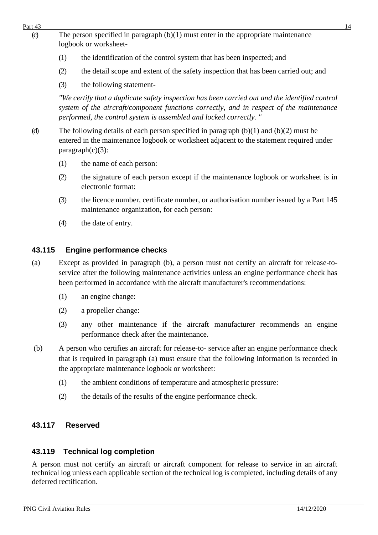- Part  $43$  14 (c) The person specified in paragraph  $(b)(1)$  must enter in the appropriate maintenance logbook or worksheet-
	- (1) the identification of the control system that has been inspected; and
	- (2) the detail scope and extent of the safety inspection that has been carried out; and
	- (3) the following statement-

*"We certify that a duplicate safety inspection has been carried out and the identified control system of the aircraft/component functions correctly, and in respect of the maintenance performed, the control system is assembled and locked correctly. "*

- (d) The following details of each person specified in paragraph  $(b)(1)$  and  $(b)(2)$  must be entered in the maintenance logbook or worksheet adjacent to the statement required under  $paragraph(c)(3)$ :
	- (1) the name of each person:
	- (2) the signature of each person except if the maintenance logbook or worksheet is in electronic format:
	- (3) the licence number, certificate number, or authorisation number issued by a Part 145 maintenance organization, for each person:
	- (4) the date of entry.

#### <span id="page-13-0"></span>**43.115 Engine performance checks**

- (a) Except as provided in paragraph (b), a person must not certify an aircraft for release-toservice after the following maintenance activities unless an engine performance check has been performed in accordance with the aircraft manufacturer's recommendations:
	- (1) an engine change:
	- (2) a propeller change:
	- (3) any other maintenance if the aircraft manufacturer recommends an engine performance check after the maintenance.
- (b) A person who certifies an aircraft for release-to- service after an engine performance check that is required in paragraph (a) must ensure that the following information is recorded in the appropriate maintenance logbook or worksheet:
	- (1) the ambient conditions of temperature and atmospheric pressure:
	- (2) the details of the results of the engine performance check.

#### <span id="page-13-1"></span>**43.117 Reserved**

#### <span id="page-13-2"></span>**43.119 Technical log completion**

A person must not certify an aircraft or aircraft component for release to service in an aircraft technical log unless each applicable section of the technical log is completed, including details of any deferred rectification.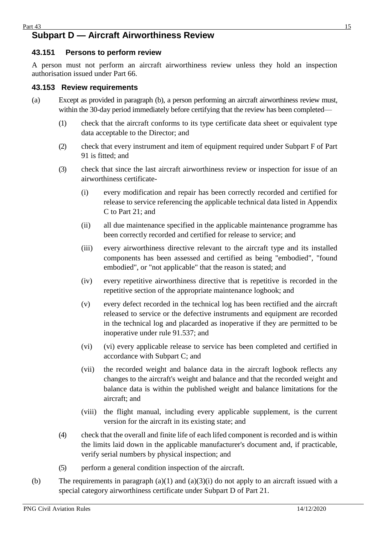### <span id="page-14-0"></span>**Subpart D — Aircraft Airworthiness Review**

#### <span id="page-14-1"></span>**43.151 Persons to perform review**

A person must not perform an aircraft airworthiness review unless they hold an inspection authorisation issued under Part 66.

#### <span id="page-14-2"></span>**43.153 Review requirements**

- (a) Except as provided in paragraph (b), a person performing an aircraft airworthiness review must, within the 30-day period immediately before certifying that the review has been completed—
	- (1) check that the aircraft conforms to its type certificate data sheet or equivalent type data acceptable to the Director; and
	- (2) check that every instrument and item of equipment required under Subpart F of Part 91 is fitted; and
	- (3) check that since the last aircraft airworthiness review or inspection for issue of an airworthiness certificate-
		- (i) every modification and repair has been correctly recorded and certified for release to service referencing the applicable technical data listed in Appendix C to Part 21; and
		- (ii) all due maintenance specified in the applicable maintenance programme has been correctly recorded and certified for release to service; and
		- (iii) every airworthiness directive relevant to the aircraft type and its installed components has been assessed and certified as being "embodied", "found embodied", or "not applicable" that the reason is stated; and
		- (iv) every repetitive airworthiness directive that is repetitive is recorded in the repetitive section of the appropriate maintenance logbook; and
		- (v) every defect recorded in the technical log has been rectified and the aircraft released to service or the defective instruments and equipment are recorded in the technical log and placarded as inoperative if they are permitted to be inoperative under rule 91.537; and
		- (vi) (vi) every applicable release to service has been completed and certified in accordance with Subpart C; and
		- (vii) the recorded weight and balance data in the aircraft logbook reflects any changes to the aircraft's weight and balance and that the recorded weight and balance data is within the published weight and balance limitations for the aircraft; and
		- (viii) the flight manual, including every applicable supplement, is the current version for the aircraft in its existing state; and
	- (4) check that the overall and finite life of each lifed component is recorded and is within the limits laid down in the applicable manufacturer's document and, if practicable, verify serial numbers by physical inspection; and
	- (5) perform a general condition inspection of the aircraft.
- (b) The requirements in paragraph (a)(1) and (a)(3)(i) do not apply to an aircraft issued with a special category airworthiness certificate under Subpart D of Part 21.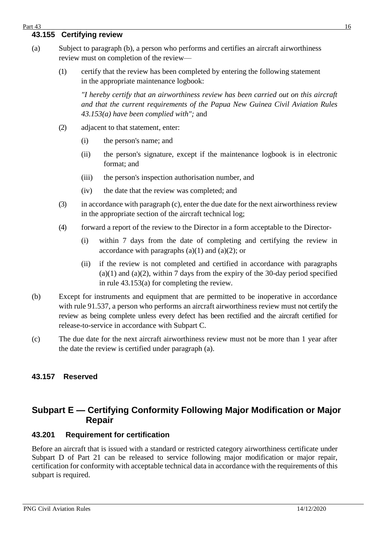#### <span id="page-15-0"></span>Part 43 **16** 16

#### **43.155 Certifying review**

- (a) Subject to paragraph (b), a person who performs and certifies an aircraft airworthiness review must on completion of the review—
	- (1) certify that the review has been completed by entering the following statement in the appropriate maintenance logbook:

*"I hereby certify that an airworthiness review has been carried out on this aircraft and that the current requirements of the Papua New Guinea Civil Aviation Rules 43.153(a) have been complied with";* and

- (2) adjacent to that statement, enter:
	- (i) the person's name; and
	- (ii) the person's signature, except if the maintenance logbook is in electronic format; and
	- (iii) the person's inspection authorisation number, and
	- (iv) the date that the review was completed; and
- (3) in accordance with paragraph (c), enter the due date for the next airworthiness review in the appropriate section of the aircraft technical log;
- (4) forward a report of the review to the Director in a form acceptable to the Director-
	- (i) within 7 days from the date of completing and certifying the review in accordance with paragraphs  $(a)(1)$  and  $(a)(2)$ ; or
	- (ii) if the review is not completed and certified in accordance with paragraphs  $(a)(1)$  and  $(a)(2)$ , within 7 days from the expiry of the 30-day period specified in rule 43.153(a) for completing the review.
- (b) Except for instruments and equipment that are permitted to be inoperative in accordance with rule 91.537, a person who performs an aircraft airworthiness review must not certify the review as being complete unless every defect has been rectified and the aircraft certified for release-to-service in accordance with Subpart C.
- (c) The due date for the next aircraft airworthiness review must not be more than 1 year after the date the review is certified under paragraph (a).

#### <span id="page-15-1"></span>**43.157 Reserved**

# <span id="page-15-2"></span>**Subpart E — Certifying Conformity Following Major Modification or Major Repair**

#### <span id="page-15-3"></span>**43.201 Requirement for certification**

Before an aircraft that is issued with a standard or restricted category airworthiness certificate under Subpart D of Part 21 can be released to service following major modification or major repair, certification for conformity with acceptable technical data in accordance with the requirements of this subpart is required.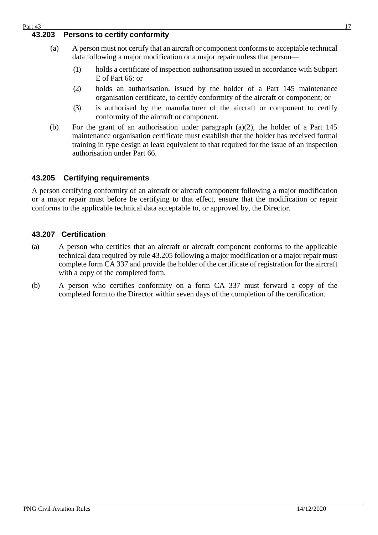#### <span id="page-16-0"></span>**43.203 Persons to certify conformity**

- (a) A person must not certify that an aircraft or component conforms to acceptable technical data following a major modification or a major repair unless that person—
	- (1) holds a certificate of inspection authorisation issued in accordance with Subpart E of Part 66; or
	- (2) holds an authorisation, issued by the holder of a Part 145 maintenance organisation certificate, to certify conformity of the aircraft or component; or
	- (3) is authorised by the manufacturer of the aircraft or component to certify conformity of the aircraft or component.
- (b) For the grant of an authorisation under paragraph (a)(2), the holder of a Part 145 maintenance organisation certificate must establish that the holder has received formal training in type design at least equivalent to that required for the issue of an inspection authorisation under Part 66.

#### <span id="page-16-1"></span>**43.205 Certifying requirements**

A person certifying conformity of an aircraft or aircraft component following a major modification or a major repair must before be certifying to that effect, ensure that the modification or repair conforms to the applicable technical data acceptable to, or approved by, the Director.

#### <span id="page-16-2"></span>**43.207 Certification**

- (a) A person who certifies that an aircraft or aircraft component conforms to the applicable technical data required by rule 43.205 following a major modification or a major repair must complete form CA 337 and provide the holder of the certificate of registration for the aircraft with a copy of the completed form.
- (b) A person who certifies conformity on a form CA 337 must forward a copy of the completed form to the Director within seven days of the completion of the certification.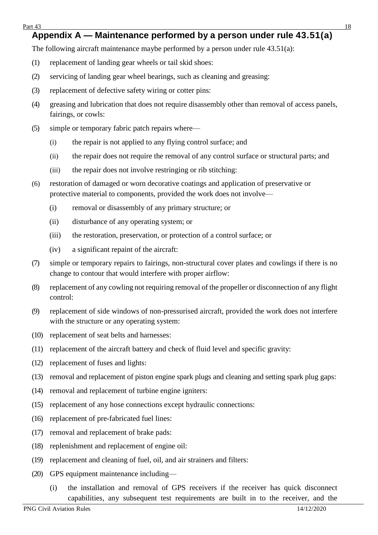#### <span id="page-17-0"></span>Part  $43$  18 **Appendix A — Maintenance performed by a person under rule 43.51(a)**

The following aircraft maintenance maybe performed by a person under rule 43.51(a):

- (1) replacement of landing gear wheels or tail skid shoes:
- (2) servicing of landing gear wheel bearings, such as cleaning and greasing:
- (3) replacement of defective safety wiring or cotter pins:
- (4) greasing and lubrication that does not require disassembly other than removal of access panels, fairings, or cowls:
- (5) simple or temporary fabric patch repairs where—
	- (i) the repair is not applied to any flying control surface; and
	- (ii) the repair does not require the removal of any control surface or structural parts; and
	- (iii) the repair does not involve restringing or rib stitching:
- (6) restoration of damaged or worn decorative coatings and application of preservative or protective material to components, provided the work does not involve—
	- (i) removal or disassembly of any primary structure; or
	- (ii) disturbance of any operating system; or
	- (iii) the restoration, preservation, or protection of a control surface; or
	- (iv) a significant repaint of the aircraft:
- (7) simple or temporary repairs to fairings, non-structural cover plates and cowlings if there is no change to contour that would interfere with proper airflow:
- (8) replacement of any cowling not requiring removal of the propeller or disconnection of any flight control:
- (9) replacement of side windows of non-pressurised aircraft, provided the work does not interfere with the structure or any operating system:
- (10) replacement of seat belts and harnesses:
- (11) replacement of the aircraft battery and check of fluid level and specific gravity:
- (12) replacement of fuses and lights:
- (13) removal and replacement of piston engine spark plugs and cleaning and setting spark plug gaps:
- (14) removal and replacement of turbine engine igniters:
- (15) replacement of any hose connections except hydraulic connections:
- (16) replacement of pre-fabricated fuel lines:
- (17) removal and replacement of brake pads:
- (18) replenishment and replacement of engine oil:
- (19) replacement and cleaning of fuel, oil, and air strainers and filters:
- (20) GPS equipment maintenance including—
	- (i) the installation and removal of GPS receivers if the receiver has quick disconnect capabilities, any subsequent test requirements are built in to the receiver, and the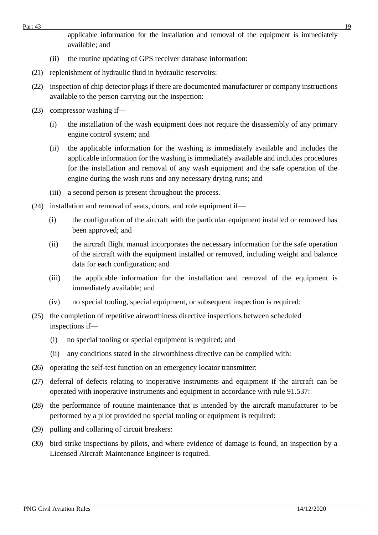applicable information for the installation and removal of the equipment is immediately available; and

- (ii) the routine updating of GPS receiver database information:
- (21) replenishment of hydraulic fluid in hydraulic reservoirs:
- (22) inspection of chip detector plugs if there are documented manufacturer or company instructions available to the person carrying out the inspection:
- (23) compressor washing if—
	- (i) the installation of the wash equipment does not require the disassembly of any primary engine control system; and
	- (ii) the applicable information for the washing is immediately available and includes the applicable information for the washing is immediately available and includes procedures for the installation and removal of any wash equipment and the safe operation of the engine during the wash runs and any necessary drying runs; and
	- (iii) a second person is present throughout the process.
- (24) installation and removal of seats, doors, and role equipment if—
	- (i) the configuration of the aircraft with the particular equipment installed or removed has been approved; and
	- (ii) the aircraft flight manual incorporates the necessary information for the safe operation of the aircraft with the equipment installed or removed, including weight and balance data for each configuration; and
	- (iii) the applicable information for the installation and removal of the equipment is immediately available; and
	- (iv) no special tooling, special equipment, or subsequent inspection is required:
- (25) the completion of repetitive airworthiness directive inspections between scheduled inspections if—
	- (i) no special tooling or special equipment is required; and
	- (ii) any conditions stated in the airworthiness directive can be complied with:
- (26) operating the self-test function on an emergency locator transmitter:
- (27) deferral of defects relating to inoperative instruments and equipment if the aircraft can be operated with inoperative instruments and equipment in accordance with rule 91.537:
- (28) the performance of routine maintenance that is intended by the aircraft manufacturer to be performed by a pilot provided no special tooling or equipment is required:
- (29) pulling and collaring of circuit breakers:
- (30) bird strike inspections by pilots, and where evidence of damage is found, an inspection by a Licensed Aircraft Maintenance Engineer is required.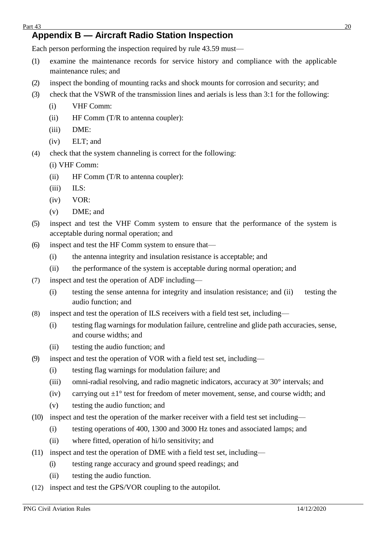# <span id="page-19-0"></span>**Appendix B — Aircraft Radio Station Inspection**

Each person performing the inspection required by rule 43.59 must—

- (1) examine the maintenance records for service history and compliance with the applicable maintenance rules; and
- (2) inspect the bonding of mounting racks and shock mounts for corrosion and security; and
- (3) check that the VSWR of the transmission lines and aerials is less than 3:1 for the following:
	- (i) VHF Comm:
	- (ii) HF Comm (T/R to antenna coupler):
	- (iii) DME:
	- (iv) ELT; and
- (4) check that the system channeling is correct for the following:
	- (i) VHF Comm:
	- (ii) HF Comm (T/R to antenna coupler):
	- (iii) ILS:
	- (iv) VOR:
	- (v) DME; and
- (5) inspect and test the VHF Comm system to ensure that the performance of the system is acceptable during normal operation; and
- (6) inspect and test the HF Comm system to ensure that—
	- (i) the antenna integrity and insulation resistance is acceptable; and
	- (ii) the performance of the system is acceptable during normal operation; and
- (7) inspect and test the operation of ADF including—
	- (i) testing the sense antenna for integrity and insulation resistance; and (ii) testing the audio function; and
- (8) inspect and test the operation of ILS receivers with a field test set, including—
	- (i) testing flag warnings for modulation failure, centreline and glide path accuracies, sense, and course widths; and
	- (ii) testing the audio function; and
- (9) inspect and test the operation of VOR with a field test set, including—
	- (i) testing flag warnings for modulation failure; and
	- (iii) omni-radial resolving, and radio magnetic indicators, accuracy at 30° intervals; and
	- (iv) carrying out  $\pm 1^{\circ}$  test for freedom of meter movement, sense, and course width; and
	- (v) testing the audio function; and
- (10) inspect and test the operation of the marker receiver with a field test set including—
	- (i) testing operations of 400, 1300 and 3000 Hz tones and associated lamps; and
	- (ii) where fitted, operation of hi/lo sensitivity; and
- (11) inspect and test the operation of DME with a field test set, including—
	- (i) testing range accuracy and ground speed readings; and
	- (ii) testing the audio function.
- (12) inspect and test the GPS/VOR coupling to the autopilot.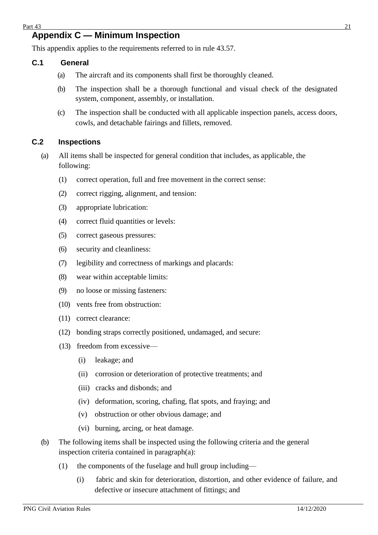## <span id="page-20-0"></span>**Appendix C — Minimum Inspection**

This appendix applies to the requirements referred to in rule 43.57.

#### <span id="page-20-1"></span>**C.1 General**

- (a) The aircraft and its components shall first be thoroughly cleaned.
- (b) The inspection shall be a thorough functional and visual check of the designated system, component, assembly, or installation.
- (c) The inspection shall be conducted with all applicable inspection panels, access doors, cowls, and detachable fairings and fillets, removed.

#### <span id="page-20-2"></span>**C.2 Inspections**

- (a) All items shall be inspected for general condition that includes, as applicable, the following:
	- (1) correct operation, full and free movement in the correct sense:
	- (2) correct rigging, alignment, and tension:
	- (3) appropriate lubrication:
	- (4) correct fluid quantities or levels:
	- (5) correct gaseous pressures:
	- (6) security and cleanliness:
	- (7) legibility and correctness of markings and placards:
	- (8) wear within acceptable limits:
	- (9) no loose or missing fasteners:
	- (10) vents free from obstruction:
	- (11) correct clearance:
	- (12) bonding straps correctly positioned, undamaged, and secure:
	- (13) freedom from excessive—
		- (i) leakage; and
		- (ii) corrosion or deterioration of protective treatments; and
		- (iii) cracks and disbonds; and
		- (iv) deformation, scoring, chafing, flat spots, and fraying; and
		- (v) obstruction or other obvious damage; and
		- (vi) burning, arcing, or heat damage.
- (b) The following items shall be inspected using the following criteria and the general inspection criteria contained in paragraph(a):
	- (1) the components of the fuselage and hull group including—
		- (i) fabric and skin for deterioration, distortion, and other evidence of failure, and defective or insecure attachment of fittings; and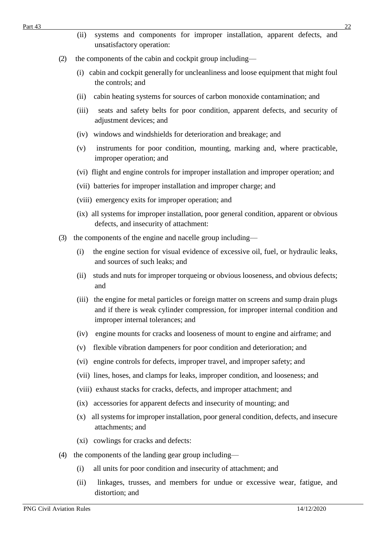- (ii) systems and components for improper installation, apparent defects, and unsatisfactory operation:
- (2) the components of the cabin and cockpit group including—
	- (i) cabin and cockpit generally for uncleanliness and loose equipment that might foul the controls; and
	- (ii) cabin heating systems for sources of carbon monoxide contamination; and
	- (iii) seats and safety belts for poor condition, apparent defects, and security of adjustment devices; and
	- (iv) windows and windshields for deterioration and breakage; and
	- (v) instruments for poor condition, mounting, marking and, where practicable, improper operation; and
	- (vi) flight and engine controls for improper installation and improper operation; and
	- (vii) batteries for improper installation and improper charge; and
	- (viii) emergency exits for improper operation; and
	- (ix) all systems for improper installation, poor general condition, apparent or obvious defects, and insecurity of attachment:
- (3) the components of the engine and nacelle group including—
	- (i) the engine section for visual evidence of excessive oil, fuel, or hydraulic leaks, and sources of such leaks; and
	- (ii) studs and nuts for improper torqueing or obvious looseness, and obvious defects; and
	- (iii) the engine for metal particles or foreign matter on screens and sump drain plugs and if there is weak cylinder compression, for improper internal condition and improper internal tolerances; and
	- (iv) engine mounts for cracks and looseness of mount to engine and airframe; and
	- (v) flexible vibration dampeners for poor condition and deterioration; and
	- (vi) engine controls for defects, improper travel, and improper safety; and
	- (vii) lines, hoses, and clamps for leaks, improper condition, and looseness; and
	- (viii) exhaust stacks for cracks, defects, and improper attachment; and
	- (ix) accessories for apparent defects and insecurity of mounting; and
	- (x) all systems for improper installation, poor general condition, defects, and insecure attachments; and
	- (xi) cowlings for cracks and defects:
- (4) the components of the landing gear group including—
	- (i) all units for poor condition and insecurity of attachment; and
	- (ii) linkages, trusses, and members for undue or excessive wear, fatigue, and distortion; and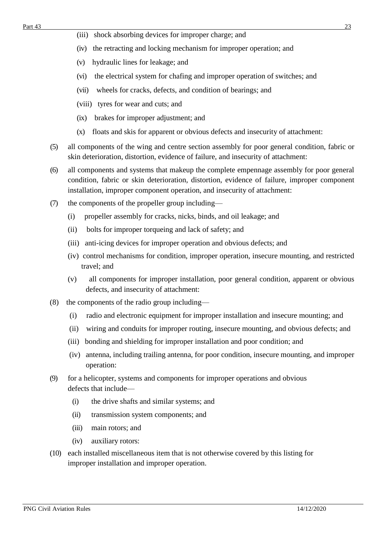- (iv) the retracting and locking mechanism for improper operation; and
- (v) hydraulic lines for leakage; and
- (vi) the electrical system for chafing and improper operation of switches; and
- (vii) wheels for cracks, defects, and condition of bearings; and
- (viii) tyres for wear and cuts; and
- (ix) brakes for improper adjustment; and
- (x) floats and skis for apparent or obvious defects and insecurity of attachment:
- (5) all components of the wing and centre section assembly for poor general condition, fabric or skin deterioration, distortion, evidence of failure, and insecurity of attachment:
- (6) all components and systems that makeup the complete empennage assembly for poor general condition, fabric or skin deterioration, distortion, evidence of failure, improper component installation, improper component operation, and insecurity of attachment:
- (7) the components of the propeller group including—
	- (i) propeller assembly for cracks, nicks, binds, and oil leakage; and
	- (ii) bolts for improper torqueing and lack of safety; and
	- (iii) anti-icing devices for improper operation and obvious defects; and
	- (iv) control mechanisms for condition, improper operation, insecure mounting, and restricted travel; and
	- (v) all components for improper installation, poor general condition, apparent or obvious defects, and insecurity of attachment:
- (8) the components of the radio group including—
	- (i) radio and electronic equipment for improper installation and insecure mounting; and
	- (ii) wiring and conduits for improper routing, insecure mounting, and obvious defects; and
	- (iii) bonding and shielding for improper installation and poor condition; and
	- (iv) antenna, including trailing antenna, for poor condition, insecure mounting, and improper operation:
- (9) for a helicopter, systems and components for improper operations and obvious defects that include—
	- (i) the drive shafts and similar systems; and
	- (ii) transmission system components; and
	- (iii) main rotors; and
	- (iv) auxiliary rotors:
- (10) each installed miscellaneous item that is not otherwise covered by this listing for improper installation and improper operation.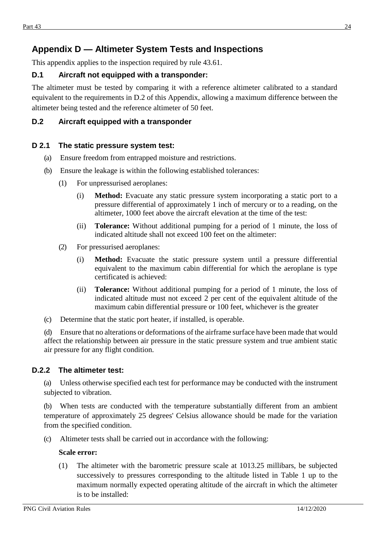# <span id="page-23-0"></span>**Appendix D — Altimeter System Tests and Inspections**

This appendix applies to the inspection required by rule 43.61.

#### <span id="page-23-1"></span>**D.1 Aircraft not equipped with a transponder:**

The altimeter must be tested by comparing it with a reference altimeter calibrated to a standard equivalent to the requirements in D.2 of this Appendix, allowing a maximum difference between the altimeter being tested and the reference altimeter of 50 feet.

#### <span id="page-23-2"></span>**D.2 Aircraft equipped with a transponder**

#### <span id="page-23-3"></span>**D 2.1 The static pressure system test:**

- (a) Ensure freedom from entrapped moisture and restrictions.
- (b) Ensure the leakage is within the following established tolerances:
	- (1) For unpressurised aeroplanes:
		- (i) **Method:** Evacuate any static pressure system incorporating a static port to a pressure differential of approximately 1 inch of mercury or to a reading, on the altimeter, 1000 feet above the aircraft elevation at the time of the test:
		- (ii) **Tolerance:** Without additional pumping for a period of 1 minute, the loss of indicated altitude shall not exceed 100 feet on the altimeter:
	- (2) For pressurised aeroplanes:
		- (i) **Method:** Evacuate the static pressure system until a pressure differential equivalent to the maximum cabin differential for which the aeroplane is type certificated is achieved:
		- (ii) **Tolerance:** Without additional pumping for a period of 1 minute, the loss of indicated altitude must not exceed 2 per cent of the equivalent altitude of the maximum cabin differential pressure or 100 feet, whichever is the greater
- (c) Determine that the static port heater, if installed, is operable.

(d) Ensure that no alterations or deformations of the airframe surface have been made that would affect the relationship between air pressure in the static pressure system and true ambient static air pressure for any flight condition.

#### <span id="page-23-4"></span>**D.2.2 The altimeter test:**

(a) Unless otherwise specified each test for performance may be conducted with the instrument subjected to vibration.

(b) When tests are conducted with the temperature substantially different from an ambient temperature of approximately 25 degrees' Celsius allowance should be made for the variation from the specified condition.

(c) Altimeter tests shall be carried out in accordance with the following:

#### **Scale error:**

(1) The altimeter with the barometric pressure scale at 1013.25 millibars, be subjected successively to pressures corresponding to the altitude listed in Table 1 up to the maximum normally expected operating altitude of the aircraft in which the altimeter is to be installed: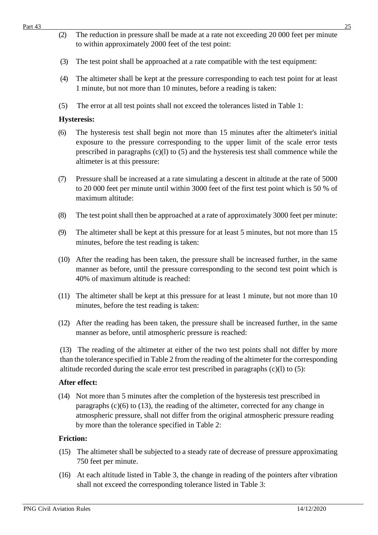- (2) The reduction in pressure shall be made at a rate not exceeding 20 000 feet per minute to within approximately 2000 feet of the test point:
- (3) The test point shall be approached at a rate compatible with the test equipment:
- (4) The altimeter shall be kept at the pressure corresponding to each test point for at least 1 minute, but not more than 10 minutes, before a reading is taken:
- (5) The error at all test points shall not exceed the tolerances listed in Table 1:

#### **Hysteresis:**

- (6) The hysteresis test shall begin not more than 15 minutes after the altimeter's initial exposure to the pressure corresponding to the upper limit of the scale error tests prescribed in paragraphs (c)(l) to (5) and the hysteresis test shall commence while the altimeter is at this pressure:
- (7) Pressure shall be increased at a rate simulating a descent in altitude at the rate of 5000 to 20 000 feet per minute until within 3000 feet of the first test point which is 50 % of maximum altitude:
- (8) The test point shall then be approached at a rate of approximately 3000 feet per minute:
- (9) The altimeter shall be kept at this pressure for at least 5 minutes, but not more than 15 minutes, before the test reading is taken:
- (10) After the reading has been taken, the pressure shall be increased further, in the same manner as before, until the pressure corresponding to the second test point which is 40% of maximum altitude is reached:
- (11) The altimeter shall be kept at this pressure for at least 1 minute, but not more than 10 minutes, before the test reading is taken:
- (12) After the reading has been taken, the pressure shall be increased further, in the same manner as before, until atmospheric pressure is reached:

(13) The reading of the altimeter at either of the two test points shall not differ by more than the tolerance specified in Table 2 from the reading of the altimeter for the corresponding altitude recorded during the scale error test prescribed in paragraphs (c)(l) to (5):

#### **After effect:**

(14) Not more than 5 minutes after the completion of the hysteresis test prescribed in paragraphs  $(c)(6)$  to  $(13)$ , the reading of the altimeter, corrected for any change in atmospheric pressure, shall not differ from the original atmospheric pressure reading by more than the tolerance specified in Table 2:

#### **Friction:**

- (15) The altimeter shall be subjected to a steady rate of decrease of pressure approximating 750 feet per minute.
- (16) At each altitude listed in Table 3, the change in reading of the pointers after vibration shall not exceed the corresponding tolerance listed in Table 3: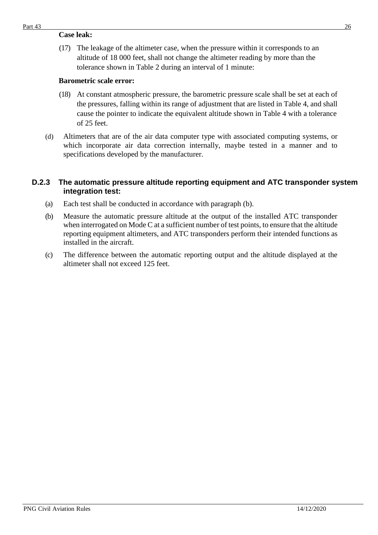#### **Case leak:**

(17) The leakage of the altimeter case, when the pressure within it corresponds to an altitude of 18 000 feet, shall not change the altimeter reading by more than the tolerance shown in Table 2 during an interval of 1 minute:

#### **Barometric scale error:**

- (18) At constant atmospheric pressure, the barometric pressure scale shall be set at each of the pressures, falling within its range of adjustment that are listed in Table 4, and shall cause the pointer to indicate the equivalent altitude shown in Table 4 with a tolerance of 25 feet.
- (d) Altimeters that are of the air data computer type with associated computing systems, or which incorporate air data correction internally, maybe tested in a manner and to specifications developed by the manufacturer.

#### <span id="page-25-0"></span>**D.2.3 The automatic pressure altitude reporting equipment and ATC transponder system integration test:**

- (a) Each test shall be conducted in accordance with paragraph (b).
- (b) Measure the automatic pressure altitude at the output of the installed ATC transponder when interrogated on Mode C at a sufficient number of test points, to ensure that the altitude reporting equipment altimeters, and ATC transponders perform their intended functions as installed in the aircraft.
- (c) The difference between the automatic reporting output and the altitude displayed at the altimeter shall not exceed 125 feet.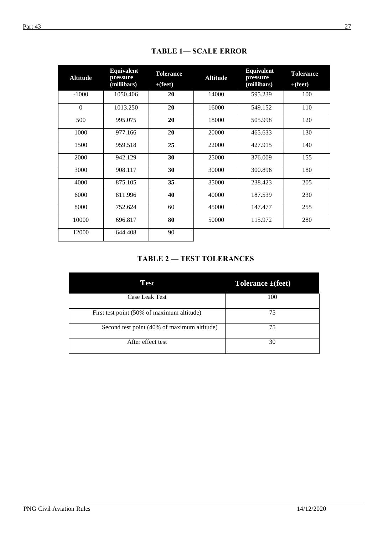| <b>Altitude</b> | <b>Equivalent</b><br>pressure<br>(millibars) | <b>Tolerance</b><br>$+(feet)$ | <b>Altitude</b> | <b>Equivalent</b><br>pressure<br>(millibars) | <b>Tolerance</b><br>$+(feet)$ |
|-----------------|----------------------------------------------|-------------------------------|-----------------|----------------------------------------------|-------------------------------|
| $-1000$         | 1050.406                                     | 20                            | 14000           | 595.239                                      | 100                           |
| $\Omega$        | 1013.250                                     | 20                            | 16000           | 549.152                                      | 110                           |
| 500             | 995.075                                      | 20                            | 18000           | 505.998                                      | 120                           |
| 1000            | 977.166                                      | 20                            | 20000           | 465.633                                      | 130                           |
| 1500            | 959.518                                      | 25                            | 22000           | 427.915                                      | 140                           |
| 2000            | 942.129                                      | 30                            | 25000           | 376.009                                      | 155                           |
| 3000            | 908.117                                      | 30                            | 30000           | 300.896                                      | 180                           |
| 4000            | 875.105                                      | 35                            | 35000           | 238.423                                      | 205                           |
| 6000            | 811.996                                      | 40                            | 40000           | 187.539                                      | 230                           |
| 8000            | 752.624                                      | 60                            | 45000           | 147.477                                      | 255                           |
| 10000           | 696.817                                      | 80                            | 50000           | 115.972                                      | 280                           |
| 12000           | 644.408                                      | 90                            |                 |                                              |                               |

**TABLE 1— SCALE ERROR**

## **TABLE 2 — TEST TOLERANCES**

| Test                                        | Tolerance $\pm$ (feet) |
|---------------------------------------------|------------------------|
| Case Leak Test                              | 100                    |
| First test point (50% of maximum altitude)  | 75                     |
| Second test point (40% of maximum altitude) | 75                     |
| After effect test                           | 30                     |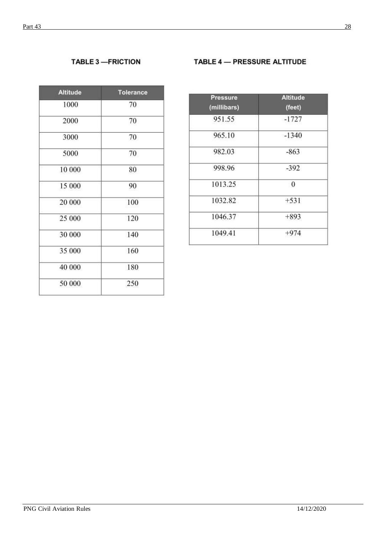## **TABLE 3-FRICTION**

#### TABLE 4 - PRESSURE ALTITUDE

| <b>Altitude</b> | Tolerance |  |
|-----------------|-----------|--|
| 1000            | 70        |  |
| 2000            | 70        |  |
| 3000            | 70        |  |
| 5000            | 70        |  |
| 10 000          | 80        |  |
| 15 000          | 90        |  |
| 20 000          | 100       |  |
| 25 000          | 120       |  |
| 30 000          | 140       |  |
| 35 000          | 160       |  |
| 40 000          | 180       |  |
| 50 000          | 250       |  |
|                 |           |  |

| <b>Pressure</b><br>(millibars) | <b>Altitude</b><br>(feet) |
|--------------------------------|---------------------------|
| 951.55                         | $-1727$                   |
| 965.10                         | $-1340$                   |
| 982.03                         | $-863$                    |
| 998.96                         | $-392$                    |
| 1013.25                        | $\mathbf{0}$              |
| 1032.82                        | $+531$                    |
| 1046.37                        | $+893$                    |
| 1049.41                        | $+974$                    |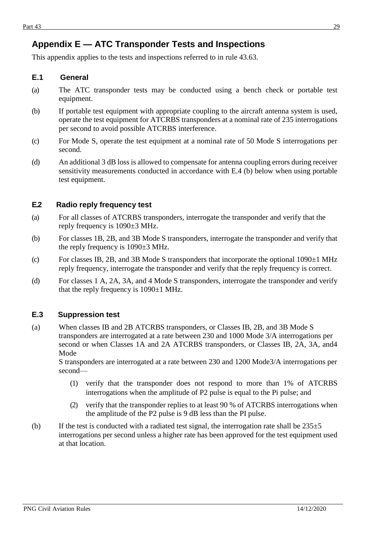# <span id="page-28-0"></span>**Appendix E — ATC Transponder Tests and Inspections**

This appendix applies to the tests and inspections referred to in rule 43.63.

#### <span id="page-28-1"></span>**E.1 General**

- (a) The ATC transponder tests may be conducted using a bench check or portable test equipment.
- (b) If portable test equipment with appropriate coupling to the aircraft antenna system is used, operate the test equipment for ATCRBS transponders at a nominal rate of 235 interrogations per second to avoid possible ATCRBS interference.
- (c) For Mode S, operate the test equipment at a nominal rate of 50 Mode S interrogations per second.
- (d) An additional 3 dB loss is allowed to compensate for antenna coupling errors during receiver sensitivity measurements conducted in accordance with E.4 (b) below when using portable test equipment.

#### <span id="page-28-2"></span>**E.2 Radio reply frequency test**

- (a) For all classes of ATCRBS transponders, interrogate the transponder and verify that the reply frequency is 1090±3 MHz.
- (b) For classes 1B, 2B, and 3B Mode S transponders, interrogate the transponder and verify that the reply frequency is 1090±3 MHz.
- (c) For classes IB, 2B, and 3B Mode S transponders that incorporate the optional  $1090\pm1$  MHz reply frequency, interrogate the transponder and verify that the reply frequency is correct.
- (d) For classes 1 A, 2A, 3A, and 4 Mode S transponders, interrogate the transponder and verify that the reply frequency is 1090±1 MHz.

#### <span id="page-28-3"></span>**E.3 Suppression test**

(a) When classes IB and 2B ATCRBS transponders, or Classes IB, 2B, and 3B Mode S transponders are interrogated at a rate between 230 and 1000 Mode 3/A interrogations per second or when Classes 1A and 2A ATCRBS transponders, or Classes IB, 2A, 3A, and4 Mode

S transponders are interrogated at a rate between 230 and 1200 Mode3/A interrogations per second—

- (1) verify that the transponder does not respond to more than 1% of ATCRBS interrogations when the amplitude of P2 pulse is equal to the Pi pulse; and
- (2) verify that the transponder replies to at least 90 % of ATCRBS interrogations when the amplitude of the P2 pulse is 9 dB less than the PI pulse.
- (b) If the test is conducted with a radiated test signal, the interrogation rate shall be  $235\pm5$ interrogations per second unless a higher rate has been approved for the test equipment used at that location.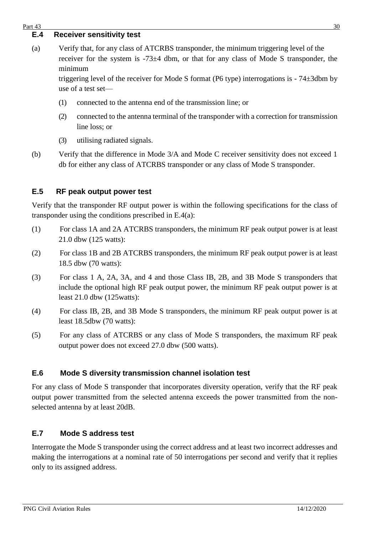#### <span id="page-29-0"></span> $Part 43$  30

#### **E.4 Receiver sensitivity test**

(a) Verify that, for any class of ATCRBS transponder, the minimum triggering level of the receiver for the system is -73±4 dbm, or that for any class of Mode S transponder, the minimum

triggering level of the receiver for Mode S format (P6 type) interrogations is - 74±3dbm by use of a test set—

- (1) connected to the antenna end of the transmission line; or
- (2) connected to the antenna terminal of the transponder with a correction for transmission line loss; or
- (3) utilising radiated signals.
- (b) Verify that the difference in Mode 3/A and Mode C receiver sensitivity does not exceed 1 db for either any class of ATCRBS transponder or any class of Mode S transponder.

#### <span id="page-29-1"></span>**E.5 RF peak output power test**

Verify that the transponder RF output power is within the following specifications for the class of transponder using the conditions prescribed in E.4(a):

- (1) For class 1A and 2A ATCRBS transponders, the minimum RF peak output power is at least 21.0 dbw (125 watts):
- (2) For class 1B and 2B ATCRBS transponders, the minimum RF peak output power is at least 18.5 dbw (70 watts):
- (3) For class 1 A, 2A, 3A, and 4 and those Class IB, 2B, and 3B Mode S transponders that include the optional high RF peak output power, the minimum RF peak output power is at least 21.0 dbw (125watts):
- (4) For class IB, 2B, and 3B Mode S transponders, the minimum RF peak output power is at least 18.5dbw (70 watts):
- (5) For any class of ATCRBS or any class of Mode S transponders, the maximum RF peak output power does not exceed 27.0 dbw (500 watts).

#### <span id="page-29-2"></span>**E.6 Mode S diversity transmission channel isolation test**

For any class of Mode S transponder that incorporates diversity operation, verify that the RF peak output power transmitted from the selected antenna exceeds the power transmitted from the nonselected antenna by at least 20dB.

#### <span id="page-29-3"></span>**E.7 Mode S address test**

Interrogate the Mode S transponder using the correct address and at least two incorrect addresses and making the interrogations at a nominal rate of 50 interrogations per second and verify that it replies only to its assigned address.